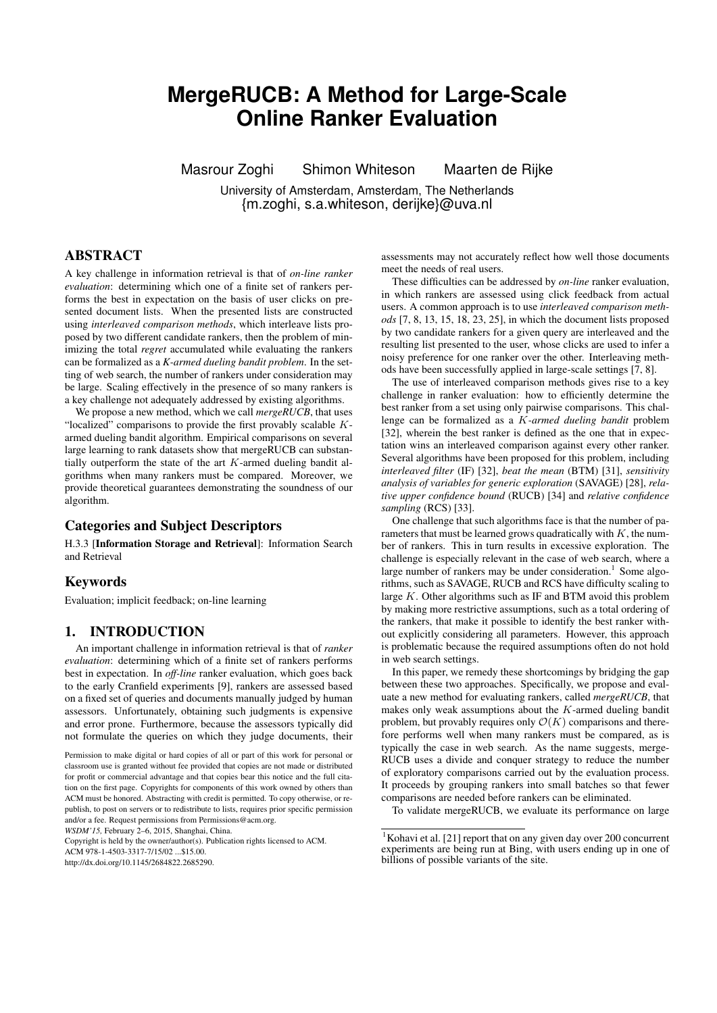# **MergeRUCB: A Method for Large-Scale Online Ranker Evaluation**

Masrour Zoghi Shimon Whiteson Maarten de Rijke

University of Amsterdam, Amsterdam, The Netherlands {m.zoghi, s.a.whiteson, derijke}@uva.nl

# ABSTRACT

A key challenge in information retrieval is that of *on-line ranker evaluation*: determining which one of a finite set of rankers performs the best in expectation on the basis of user clicks on presented document lists. When the presented lists are constructed using *interleaved comparison methods*, which interleave lists proposed by two different candidate rankers, then the problem of minimizing the total *regret* accumulated while evaluating the rankers can be formalized as a *K-armed dueling bandit problem*. In the setting of web search, the number of rankers under consideration may be large. Scaling effectively in the presence of so many rankers is a key challenge not adequately addressed by existing algorithms.

We propose a new method, which we call *mergeRUCB*, that uses "localized" comparisons to provide the first provably scalable Karmed dueling bandit algorithm. Empirical comparisons on several large learning to rank datasets show that mergeRUCB can substantially outperform the state of the art  $K$ -armed dueling bandit algorithms when many rankers must be compared. Moreover, we provide theoretical guarantees demonstrating the soundness of our algorithm.

# Categories and Subject Descriptors

H.3.3 [Information Storage and Retrieval]: Information Search and Retrieval

# Keywords

Evaluation; implicit feedback; on-line learning

# 1. INTRODUCTION

An important challenge in information retrieval is that of *ranker evaluation*: determining which of a finite set of rankers performs best in expectation. In *off-line* ranker evaluation, which goes back to the early Cranfield experiments [9], rankers are assessed based on a fixed set of queries and documents manually judged by human assessors. Unfortunately, obtaining such judgments is expensive and error prone. Furthermore, because the assessors typically did not formulate the queries on which they judge documents, their

*WSDM'15,* February 2–6, 2015, Shanghai, China.

Copyright is held by the owner/author(s). Publication rights licensed to ACM.

ACM 978-1-4503-3317-7/15/02 \$15.00

http://dx.doi.org/10.1145/2684822.2685290.

assessments may not accurately reflect how well those documents meet the needs of real users.

These difficulties can be addressed by *on-line* ranker evaluation, in which rankers are assessed using click feedback from actual users. A common approach is to use *interleaved comparison methods* [7, 8, 13, 15, 18, 23, 25], in which the document lists proposed by two candidate rankers for a given query are interleaved and the resulting list presented to the user, whose clicks are used to infer a noisy preference for one ranker over the other. Interleaving methods have been successfully applied in large-scale settings [7, 8].

The use of interleaved comparison methods gives rise to a key challenge in ranker evaluation: how to efficiently determine the best ranker from a set using only pairwise comparisons. This challenge can be formalized as a K*-armed dueling bandit* problem [32], wherein the best ranker is defined as the one that in expectation wins an interleaved comparison against every other ranker. Several algorithms have been proposed for this problem, including *interleaved filter* (IF) [32], *beat the mean* (BTM) [31], *sensitivity analysis of variables for generic exploration* (SAVAGE) [28], *relative upper confidence bound* (RUCB) [34] and *relative confidence sampling* (RCS) [33].

One challenge that such algorithms face is that the number of parameters that must be learned grows quadratically with  $K$ , the number of rankers. This in turn results in excessive exploration. The challenge is especially relevant in the case of web search, where a large number of rankers may be under consideration.<sup>1</sup> Some algorithms, such as SAVAGE, RUCB and RCS have difficulty scaling to large  $K$ . Other algorithms such as IF and BTM avoid this problem by making more restrictive assumptions, such as a total ordering of the rankers, that make it possible to identify the best ranker without explicitly considering all parameters. However, this approach is problematic because the required assumptions often do not hold in web search settings.

In this paper, we remedy these shortcomings by bridging the gap between these two approaches. Specifically, we propose and evaluate a new method for evaluating rankers, called *mergeRUCB*, that makes only weak assumptions about the  $K$ -armed dueling bandit problem, but provably requires only  $\mathcal{O}(K)$  comparisons and therefore performs well when many rankers must be compared, as is typically the case in web search. As the name suggests, merge-RUCB uses a divide and conquer strategy to reduce the number of exploratory comparisons carried out by the evaluation process. It proceeds by grouping rankers into small batches so that fewer comparisons are needed before rankers can be eliminated.

To validate mergeRUCB, we evaluate its performance on large

Permission to make digital or hard copies of all or part of this work for personal or classroom use is granted without fee provided that copies are not made or distributed for profit or commercial advantage and that copies bear this notice and the full citation on the first page. Copyrights for components of this work owned by others than ACM must be honored. Abstracting with credit is permitted. To copy otherwise, or republish, to post on servers or to redistribute to lists, requires prior specific permission and/or a fee. Request permissions from Permissions@acm.org.

<sup>&</sup>lt;sup>1</sup>Kohavi et al. [21] report that on any given day over 200 concurrent experiments are being run at Bing, with users ending up in one of billions of possible variants of the site.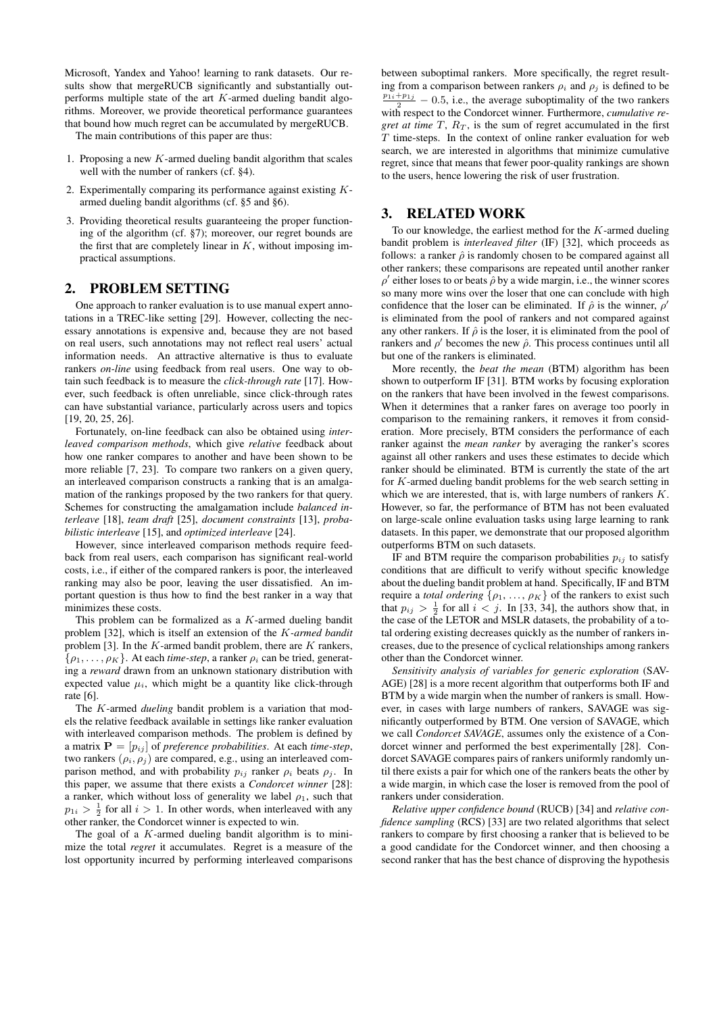Microsoft, Yandex and Yahoo! learning to rank datasets. Our results show that mergeRUCB significantly and substantially outperforms multiple state of the art  $K$ -armed dueling bandit algorithms. Moreover, we provide theoretical performance guarantees that bound how much regret can be accumulated by mergeRUCB.

The main contributions of this paper are thus:

- 1. Proposing a new  $K$ -armed dueling bandit algorithm that scales well with the number of rankers (cf. §4).
- 2. Experimentally comparing its performance against existing  $K$ armed dueling bandit algorithms (cf. §5 and §6).
- 3. Providing theoretical results guaranteeing the proper functioning of the algorithm (cf. §7); moreover, our regret bounds are the first that are completely linear in  $K$ , without imposing impractical assumptions.

## 2. PROBLEM SETTING

One approach to ranker evaluation is to use manual expert annotations in a TREC-like setting [29]. However, collecting the necessary annotations is expensive and, because they are not based on real users, such annotations may not reflect real users' actual information needs. An attractive alternative is thus to evaluate rankers *on-line* using feedback from real users. One way to obtain such feedback is to measure the *click-through rate* [17]. However, such feedback is often unreliable, since click-through rates can have substantial variance, particularly across users and topics [19, 20, 25, 26].

Fortunately, on-line feedback can also be obtained using *interleaved comparison methods*, which give *relative* feedback about how one ranker compares to another and have been shown to be more reliable [7, 23]. To compare two rankers on a given query, an interleaved comparison constructs a ranking that is an amalgamation of the rankings proposed by the two rankers for that query. Schemes for constructing the amalgamation include *balanced interleave* [18], *team draft* [25], *document constraints* [13], *probabilistic interleave* [15], and *optimized interleave* [24].

However, since interleaved comparison methods require feedback from real users, each comparison has significant real-world costs, i.e., if either of the compared rankers is poor, the interleaved ranking may also be poor, leaving the user dissatisfied. An important question is thus how to find the best ranker in a way that minimizes these costs.

This problem can be formalized as a  $K$ -armed dueling bandit problem [32], which is itself an extension of the K*-armed bandit* problem [3]. In the  $K$ -armed bandit problem, there are  $K$  rankers,  $\{\rho_1, \ldots, \rho_K\}$ . At each *time-step*, a ranker  $\rho_i$  can be tried, generating a *reward* drawn from an unknown stationary distribution with expected value  $\mu_i$ , which might be a quantity like click-through rate [6].

The K-armed *dueling* bandit problem is a variation that models the relative feedback available in settings like ranker evaluation with interleaved comparison methods. The problem is defined by a matrix  $P = [p_{ij}]$  of *preference probabilities*. At each *time-step*, two rankers  $(\rho_i, \rho_j)$  are compared, e.g., using an interleaved comparison method, and with probability  $p_{ij}$  ranker  $\rho_i$  beats  $\rho_j$ . In this paper, we assume that there exists a *Condorcet winner* [28]: a ranker, which without loss of generality we label  $\rho_1$ , such that  $p_{1i} > \frac{1}{2}$  for all  $i > 1$ . In other words, when interleaved with any other ranker, the Condorcet winner is expected to win.

The goal of a  $K$ -armed dueling bandit algorithm is to minimize the total *regret* it accumulates. Regret is a measure of the lost opportunity incurred by performing interleaved comparisons between suboptimal rankers. More specifically, the regret resulting from a comparison between rankers  $\rho_i$  and  $\rho_j$  is defined to be  $\frac{p_{1i}+p_{1j}}{2}$  – 0.5, i.e., the average suboptimality of the two rankers with respect to the Condorcet winner. Furthermore, *cumulative regret at time*  $T$ ,  $R_T$ , is the sum of regret accumulated in the first  $T$  time-steps. In the context of online ranker evaluation for web search, we are interested in algorithms that minimize cumulative regret, since that means that fewer poor-quality rankings are shown to the users, hence lowering the risk of user frustration.

## 3. RELATED WORK

To our knowledge, the earliest method for the  $K$ -armed dueling bandit problem is *interleaved filter* (IF) [32], which proceeds as follows: a ranker  $\hat{\rho}$  is randomly chosen to be compared against all other rankers; these comparisons are repeated until another ranker  $\rho'$  either loses to or beats  $\hat{\rho}$  by a wide margin, i.e., the winner scores so many more wins over the loser that one can conclude with high confidence that the loser can be eliminated. If  $\hat{\rho}$  is the winner,  $\rho'$ is eliminated from the pool of rankers and not compared against any other rankers. If  $\hat{\rho}$  is the loser, it is eliminated from the pool of rankers and  $\rho'$  becomes the new  $\hat{\rho}$ . This process continues until all but one of the rankers is eliminated.

More recently, the *beat the mean* (BTM) algorithm has been shown to outperform IF [31]. BTM works by focusing exploration on the rankers that have been involved in the fewest comparisons. When it determines that a ranker fares on average too poorly in comparison to the remaining rankers, it removes it from consideration. More precisely, BTM considers the performance of each ranker against the *mean ranker* by averaging the ranker's scores against all other rankers and uses these estimates to decide which ranker should be eliminated. BTM is currently the state of the art for K-armed dueling bandit problems for the web search setting in which we are interested, that is, with large numbers of rankers K. However, so far, the performance of BTM has not been evaluated on large-scale online evaluation tasks using large learning to rank datasets. In this paper, we demonstrate that our proposed algorithm outperforms BTM on such datasets.

IF and BTM require the comparison probabilities  $p_{ij}$  to satisfy conditions that are difficult to verify without specific knowledge about the dueling bandit problem at hand. Specifically, IF and BTM require a *total ordering*  $\{\rho_1, \ldots, \rho_K\}$  of the rankers to exist such that  $p_{ij} > \frac{1}{2}$  for all  $i < j$ . In [33, 34], the authors show that, in the case of the LETOR and MSLR datasets, the probability of a total ordering existing decreases quickly as the number of rankers increases, due to the presence of cyclical relationships among rankers other than the Condorcet winner.

*Sensitivity analysis of variables for generic exploration* (SAV-AGE) [28] is a more recent algorithm that outperforms both IF and BTM by a wide margin when the number of rankers is small. However, in cases with large numbers of rankers, SAVAGE was significantly outperformed by BTM. One version of SAVAGE, which we call *Condorcet SAVAGE*, assumes only the existence of a Condorcet winner and performed the best experimentally [28]. Condorcet SAVAGE compares pairs of rankers uniformly randomly until there exists a pair for which one of the rankers beats the other by a wide margin, in which case the loser is removed from the pool of rankers under consideration.

*Relative upper confidence bound* (RUCB) [34] and *relative confidence sampling* (RCS) [33] are two related algorithms that select rankers to compare by first choosing a ranker that is believed to be a good candidate for the Condorcet winner, and then choosing a second ranker that has the best chance of disproving the hypothesis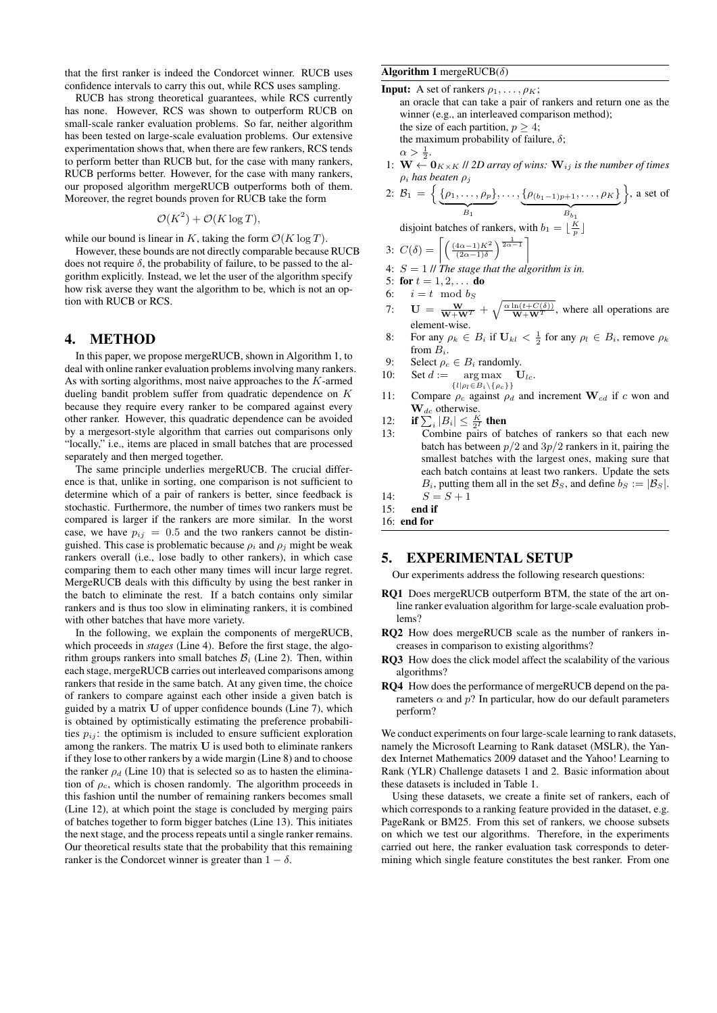that the first ranker is indeed the Condorcet winner. RUCB uses confidence intervals to carry this out, while RCS uses sampling.

RUCB has strong theoretical guarantees, while RCS currently has none. However, RCS was shown to outperform RUCB on small-scale ranker evaluation problems. So far, neither algorithm has been tested on large-scale evaluation problems. Our extensive experimentation shows that, when there are few rankers, RCS tends to perform better than RUCB but, for the case with many rankers, RUCB performs better. However, for the case with many rankers, our proposed algorithm mergeRUCB outperforms both of them. Moreover, the regret bounds proven for RUCB take the form

$$
\mathcal{O}(K^2) + \mathcal{O}(K \log T),
$$

while our bound is linear in K, taking the form  $\mathcal{O}(K \log T)$ .

However, these bounds are not directly comparable because RUCB does not require  $\delta$ , the probability of failure, to be passed to the algorithm explicitly. Instead, we let the user of the algorithm specify how risk averse they want the algorithm to be, which is not an option with RUCB or RCS.

# 4. METHOD

In this paper, we propose mergeRUCB, shown in Algorithm 1, to deal with online ranker evaluation problems involving many rankers. As with sorting algorithms, most naive approaches to the K-armed dueling bandit problem suffer from quadratic dependence on K because they require every ranker to be compared against every other ranker. However, this quadratic dependence can be avoided by a mergesort-style algorithm that carries out comparisons only "locally," i.e., items are placed in small batches that are processed separately and then merged together.

The same principle underlies mergeRUCB. The crucial difference is that, unlike in sorting, one comparison is not sufficient to determine which of a pair of rankers is better, since feedback is stochastic. Furthermore, the number of times two rankers must be compared is larger if the rankers are more similar. In the worst case, we have  $p_{ij} = 0.5$  and the two rankers cannot be distinguished. This case is problematic because  $\rho_i$  and  $\rho_j$  might be weak rankers overall (i.e., lose badly to other rankers), in which case comparing them to each other many times will incur large regret. MergeRUCB deals with this difficulty by using the best ranker in the batch to eliminate the rest. If a batch contains only similar rankers and is thus too slow in eliminating rankers, it is combined with other batches that have more variety.

In the following, we explain the components of mergeRUCB, which proceeds in *stages* (Line 4). Before the first stage, the algorithm groups rankers into small batches  $B_i$  (Line 2). Then, within each stage, mergeRUCB carries out interleaved comparisons among rankers that reside in the same batch. At any given time, the choice of rankers to compare against each other inside a given batch is guided by a matrix U of upper confidence bounds (Line 7), which is obtained by optimistically estimating the preference probabilities  $p_{ij}$ : the optimism is included to ensure sufficient exploration among the rankers. The matrix U is used both to eliminate rankers if they lose to other rankers by a wide margin (Line 8) and to choose the ranker  $\rho_d$  (Line 10) that is selected so as to hasten the elimination of  $\rho_c$ , which is chosen randomly. The algorithm proceeds in this fashion until the number of remaining rankers becomes small (Line 12), at which point the stage is concluded by merging pairs of batches together to form bigger batches (Line 13). This initiates the next stage, and the process repeats until a single ranker remains. Our theoretical results state that the probability that this remaining ranker is the Condorcet winner is greater than  $1 - \delta$ .

## Algorithm 1 mergeRUCB $(\delta)$

**Input:** A set of rankers  $\rho_1, \ldots, \rho_K$ ;

an oracle that can take a pair of rankers and return one as the winner (e.g., an interleaved comparison method); the size of each partition,  $p > 4$ ; the maximum probability of failure,  $\delta$ ;

 $\alpha > \frac{1}{2}.$ 

1: 
$$
\mathbf{W} \leftarrow \mathbf{0}_{K \times K}
$$
 // 2D array of wins:  $\mathbf{W}_{ij}$  is the number of times  $\rho_i$  has beaten  $\rho_j$ 

2: 
$$
B_1 = \left\{ \underbrace{\{\rho_1, \ldots, \rho_p\}}_{B_1}, \ldots, \underbrace{\{\rho_{(b_1-1)p+1}, \ldots, \rho_K\}}_{B_{b_1}} \right\}
$$
, a set of

disjoint batches of rankers, with  $b_1 = \lfloor \frac{K}{p} \rfloor$ 

3: 
$$
C(\delta) = \left[ \left( \frac{(4\alpha - 1)K^2}{(2\alpha - 1)\delta} \right)^{\frac{1}{2\alpha - 1}} \right]
$$

4: 
$$
S = 1
$$
 // The stage that the algorithm is in.

$$
5: \textbf{ for } t = 1, 2, \dots \textbf{ do}
$$

- 6:  $i = t \mod b_S$
- 7:  $\mathbf{U} = \frac{\mathbf{W}}{\mathbf{W} + \mathbf{W}^T} + \sqrt{\frac{\alpha \ln(t + C(\delta))}{\mathbf{W} + \mathbf{W}^T}}$ , where all operations are element-wise.
- 8: For any  $\rho_k \in B_i$  if  $\mathbf{U}_{kl} < \frac{1}{2}$  for any  $\rho_l \in B_i$ , remove  $\rho_k$ from  $B_i$ .
- 9: Select  $\rho_c \in B_i$  randomly.
- 10: Set  $d := \arg \max$   $\mathbf{U}_{lc}$ .

$$
\{l|\rho_l\!\in\!B_i\!\setminus\!\{\rho_c\}\}
$$

- $\{l|\rho_l \in B_i \setminus \{\rho_c\}\}$ <br>11: Compare  $\rho_c$  against  $\rho_d$  and increment  $\mathbf{W}_{cd}$  if c won and  $\mathbf{W}_{dc}$  otherwise.
- 12: if  $\sum_i |B_i| \leq \frac{K}{2^I}$  then
- 13: Combine pairs of batches of rankers so that each new batch has between  $p/2$  and  $3p/2$  rankers in it, pairing the smallest batches with the largest ones, making sure that each batch contains at least two rankers. Update the sets  $B_i$ , putting them all in the set  $\mathcal{B}_S$ , and define  $b_S := |\mathcal{B}_S|$ .
- 14:  $S = S + 1$
- 15: end if
- 16: end for

# 5. EXPERIMENTAL SETUP

Our experiments address the following research questions:

- RQ1 Does mergeRUCB outperform BTM, the state of the art online ranker evaluation algorithm for large-scale evaluation problems?
- RQ2 How does mergeRUCB scale as the number of rankers increases in comparison to existing algorithms?
- RQ3 How does the click model affect the scalability of the various algorithms?
- RQ4 How does the performance of mergeRUCB depend on the parameters  $\alpha$  and  $p$ ? In particular, how do our default parameters perform?

We conduct experiments on four large-scale learning to rank datasets, namely the Microsoft Learning to Rank dataset (MSLR), the Yandex Internet Mathematics 2009 dataset and the Yahoo! Learning to Rank (YLR) Challenge datasets 1 and 2. Basic information about these datasets is included in Table 1.

Using these datasets, we create a finite set of rankers, each of which corresponds to a ranking feature provided in the dataset, e.g. PageRank or BM25. From this set of rankers, we choose subsets on which we test our algorithms. Therefore, in the experiments carried out here, the ranker evaluation task corresponds to determining which single feature constitutes the best ranker. From one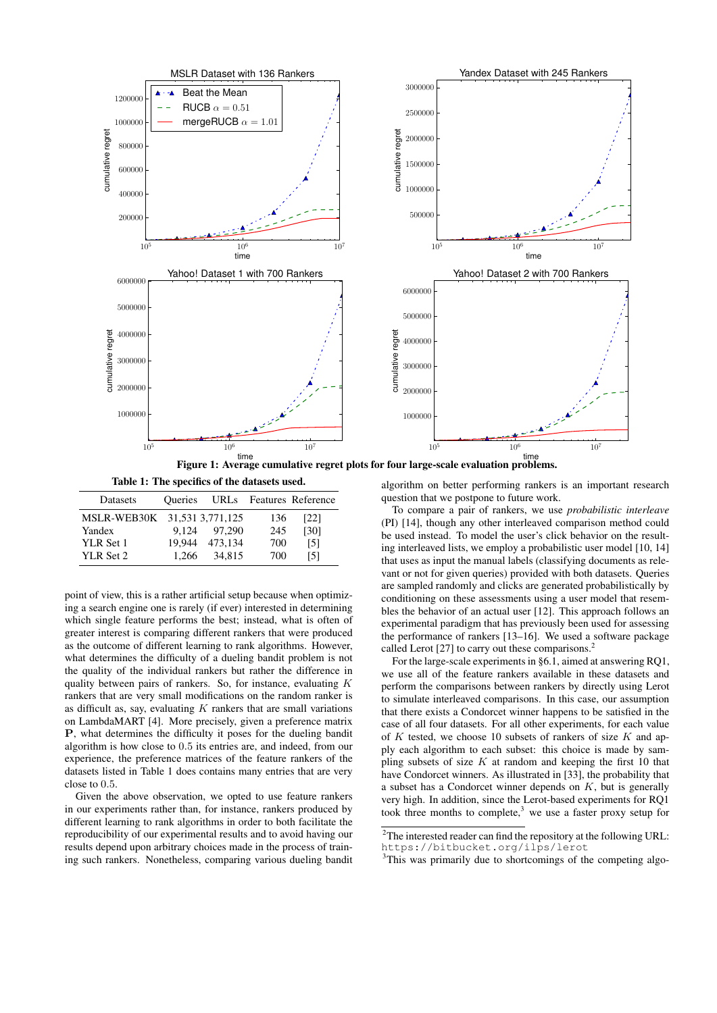

Figure 1: Average cumulative regret plots for four large-scale evaluation problems.

Table 1: The specifics of the datasets used.

| Datasets                     | <b>Oueries</b> |         |     | URLs Features Reference |
|------------------------------|----------------|---------|-----|-------------------------|
| MSLR-WEB30K 31,531 3,771,125 |                |         | 136 | [22]                    |
| Yandex                       | 9.124          | 97,290  | 245 | [30]                    |
| YLR Set 1                    | 19.944         | 473.134 | 700 | [5]                     |
| YLR Set 2                    | 1.266          | 34.815  | 700 | [5]                     |

point of view, this is a rather artificial setup because when optimizing a search engine one is rarely (if ever) interested in determining which single feature performs the best; instead, what is often of greater interest is comparing different rankers that were produced as the outcome of different learning to rank algorithms. However, what determines the difficulty of a dueling bandit problem is not the quality of the individual rankers but rather the difference in quality between pairs of rankers. So, for instance, evaluating  $K$ rankers that are very small modifications on the random ranker is as difficult as, say, evaluating  $K$  rankers that are small variations on LambdaMART [4]. More precisely, given a preference matrix P, what determines the difficulty it poses for the dueling bandit algorithm is how close to 0.5 its entries are, and indeed, from our experience, the preference matrices of the feature rankers of the datasets listed in Table 1 does contains many entries that are very close to 0.5.

Given the above observation, we opted to use feature rankers in our experiments rather than, for instance, rankers produced by different learning to rank algorithms in order to both facilitate the reproducibility of our experimental results and to avoid having our results depend upon arbitrary choices made in the process of training such rankers. Nonetheless, comparing various dueling bandit

algorithm on better performing rankers is an important research question that we postpone to future work.

To compare a pair of rankers, we use *probabilistic interleave* (PI) [14], though any other interleaved comparison method could be used instead. To model the user's click behavior on the resulting interleaved lists, we employ a probabilistic user model [10, 14] that uses as input the manual labels (classifying documents as relevant or not for given queries) provided with both datasets. Queries are sampled randomly and clicks are generated probabilistically by conditioning on these assessments using a user model that resembles the behavior of an actual user [12]. This approach follows an experimental paradigm that has previously been used for assessing the performance of rankers [13–16]. We used a software package called Lerot [27] to carry out these comparisons.<sup>2</sup>

For the large-scale experiments in §6.1, aimed at answering RQ1, we use all of the feature rankers available in these datasets and perform the comparisons between rankers by directly using Lerot to simulate interleaved comparisons. In this case, our assumption that there exists a Condorcet winner happens to be satisfied in the case of all four datasets. For all other experiments, for each value of  $K$  tested, we choose 10 subsets of rankers of size  $K$  and apply each algorithm to each subset: this choice is made by sampling subsets of size  $K$  at random and keeping the first 10 that have Condorcet winners. As illustrated in [33], the probability that a subset has a Condorcet winner depends on  $K$ , but is generally very high. In addition, since the Lerot-based experiments for RQ1 took three months to complete, $3$  we use a faster proxy setup for

<sup>2</sup>The interested reader can find the repository at the following URL: https://bitbucket.org/ilps/lerot

<sup>3</sup>This was primarily due to shortcomings of the competing algo-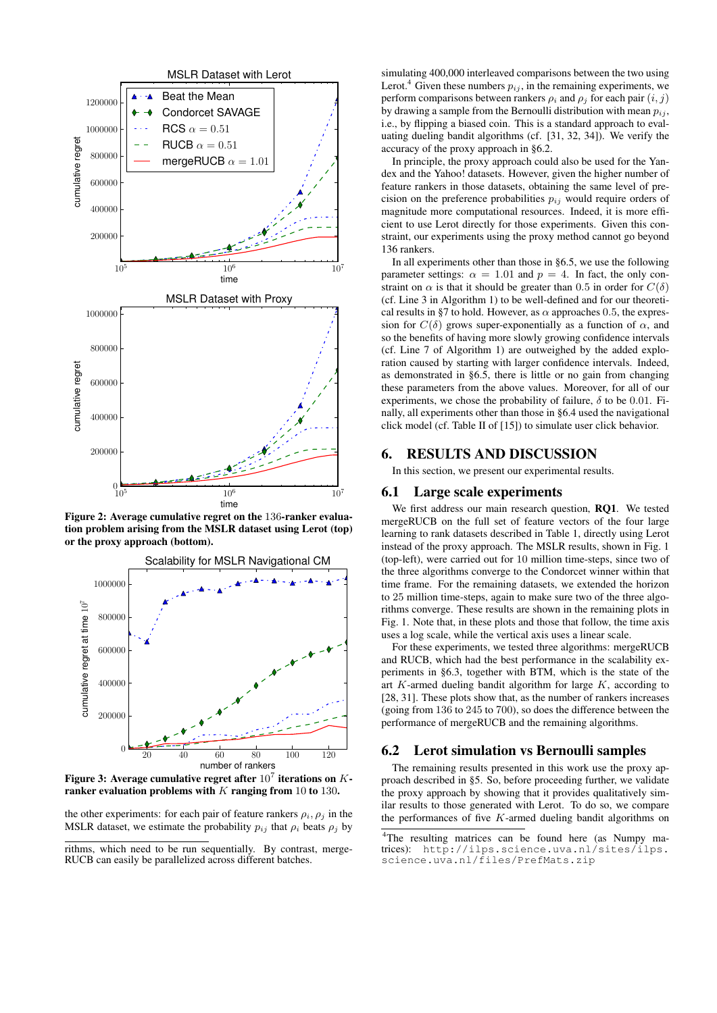

Figure 2: Average cumulative regret on the 136-ranker evaluation problem arising from the MSLR dataset using Lerot (top) or the proxy approach (bottom).



Figure 3: Average cumulative regret after  $10^7$  iterations on  $K$ ranker evaluation problems with  $K$  ranging from 10 to 130.

the other experiments: for each pair of feature rankers  $\rho_i$ ,  $\rho_j$  in the MSLR dataset, we estimate the probability  $p_{ij}$  that  $\rho_i$  beats  $\rho_j$  by

rithms, which need to be run sequentially. By contrast, merge-RUCB can easily be parallelized across different batches.

simulating 400,000 interleaved comparisons between the two using Lerot.<sup>4</sup> Given these numbers  $p_{ij}$ , in the remaining experiments, we perform comparisons between rankers  $\rho_i$  and  $\rho_j$  for each pair  $(i, j)$ by drawing a sample from the Bernoulli distribution with mean  $p_{ij}$ , i.e., by flipping a biased coin. This is a standard approach to evaluating dueling bandit algorithms (cf. [31, 32, 34]). We verify the accuracy of the proxy approach in §6.2.

In principle, the proxy approach could also be used for the Yandex and the Yahoo! datasets. However, given the higher number of feature rankers in those datasets, obtaining the same level of precision on the preference probabilities  $p_{ij}$  would require orders of magnitude more computational resources. Indeed, it is more efficient to use Lerot directly for those experiments. Given this constraint, our experiments using the proxy method cannot go beyond 136 rankers.

In all experiments other than those in §6.5, we use the following parameter settings:  $\alpha = 1.01$  and  $p = 4$ . In fact, the only constraint on  $\alpha$  is that it should be greater than 0.5 in order for  $C(\delta)$ (cf. Line 3 in Algorithm 1) to be well-defined and for our theoretical results in §7 to hold. However, as  $\alpha$  approaches 0.5, the expression for  $C(\delta)$  grows super-exponentially as a function of  $\alpha$ , and so the benefits of having more slowly growing confidence intervals (cf. Line 7 of Algorithm 1) are outweighed by the added exploration caused by starting with larger confidence intervals. Indeed, as demonstrated in §6.5, there is little or no gain from changing these parameters from the above values. Moreover, for all of our experiments, we chose the probability of failure,  $\delta$  to be 0.01. Finally, all experiments other than those in §6.4 used the navigational click model (cf. Table II of [15]) to simulate user click behavior.

# 6. RESULTS AND DISCUSSION

In this section, we present our experimental results.

# 6.1 Large scale experiments

We first address our main research question, RQ1. We tested mergeRUCB on the full set of feature vectors of the four large learning to rank datasets described in Table 1, directly using Lerot instead of the proxy approach. The MSLR results, shown in Fig. 1 (top-left), were carried out for 10 million time-steps, since two of the three algorithms converge to the Condorcet winner within that time frame. For the remaining datasets, we extended the horizon to 25 million time-steps, again to make sure two of the three algorithms converge. These results are shown in the remaining plots in Fig. 1. Note that, in these plots and those that follow, the time axis uses a log scale, while the vertical axis uses a linear scale.

For these experiments, we tested three algorithms: mergeRUCB and RUCB, which had the best performance in the scalability experiments in §6.3, together with BTM, which is the state of the art  $K$ -armed dueling bandit algorithm for large  $K$ , according to [28, 31]. These plots show that, as the number of rankers increases (going from 136 to 245 to 700), so does the difference between the performance of mergeRUCB and the remaining algorithms.

### 6.2 Lerot simulation vs Bernoulli samples

The remaining results presented in this work use the proxy approach described in §5. So, before proceeding further, we validate the proxy approach by showing that it provides qualitatively similar results to those generated with Lerot. To do so, we compare the performances of five  $K$ -armed dueling bandit algorithms on

<sup>&</sup>lt;sup>4</sup>The resulting matrices can be found here (as Numpy matrices): http://ilps.science.uva.nl/sites/ilps. science.uva.nl/files/PrefMats.zip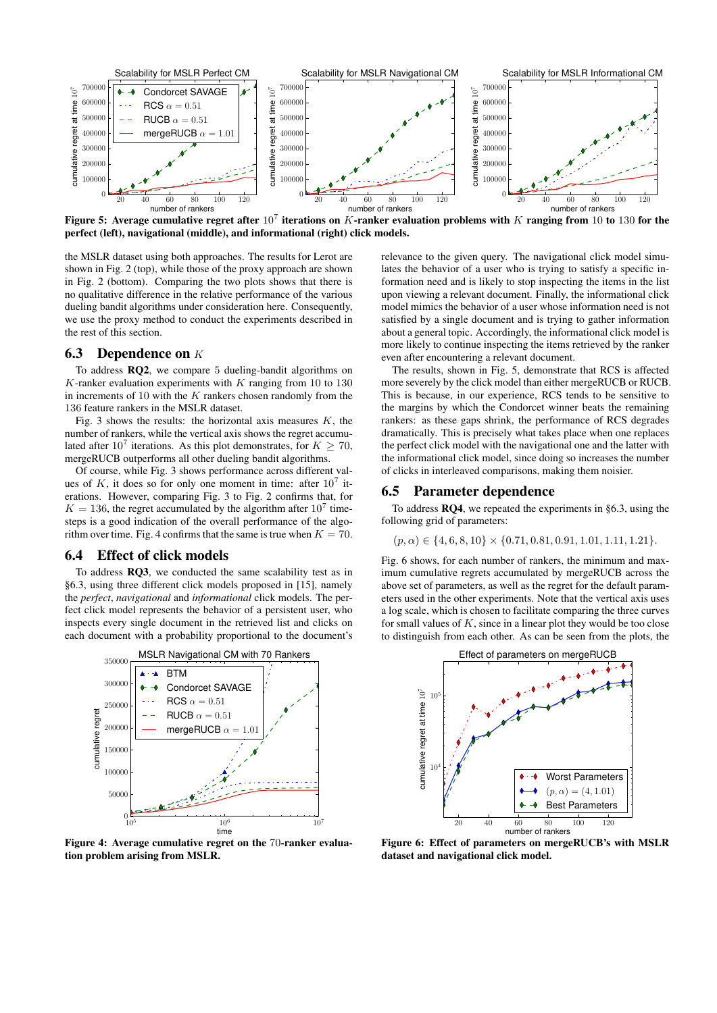

Figure 5: Average cumulative regret after  $10^7$  iterations on K-ranker evaluation problems with K ranging from 10 to 130 for the perfect (left), navigational (middle), and informational (right) click models.

the MSLR dataset using both approaches. The results for Lerot are shown in Fig. 2 (top), while those of the proxy approach are shown in Fig. 2 (bottom). Comparing the two plots shows that there is no qualitative difference in the relative performance of the various dueling bandit algorithms under consideration here. Consequently, we use the proxy method to conduct the experiments described in the rest of this section.

## **6.3** Dependence on  $K$

To address RQ2, we compare 5 dueling-bandit algorithms on  $K$ -ranker evaluation experiments with  $K$  ranging from 10 to 130 in increments of 10 with the  $K$  rankers chosen randomly from the 136 feature rankers in the MSLR dataset.

Fig. 3 shows the results: the horizontal axis measures  $K$ , the number of rankers, while the vertical axis shows the regret accumulated after 10<sup>7</sup> iterations. As this plot demonstrates, for  $K \geq 70$ , mergeRUCB outperforms all other dueling bandit algorithms.

Of course, while Fig. 3 shows performance across different values of  $K$ , it does so for only one moment in time: after  $10^7$  iterations. However, comparing Fig. 3 to Fig. 2 confirms that, for  $K = 136$ , the regret accumulated by the algorithm after  $10<sup>7</sup>$  timesteps is a good indication of the overall performance of the algorithm over time. Fig. 4 confirms that the same is true when  $K = 70$ .

#### 6.4 Effect of click models

To address RQ3, we conducted the same scalability test as in §6.3, using three different click models proposed in [15], namely the *perfect*, *navigational* and *informational* click models. The perfect click model represents the behavior of a persistent user, who inspects every single document in the retrieved list and clicks on each document with a probability proportional to the document's



Figure 4: Average cumulative regret on the 70-ranker evaluation problem arising from MSLR.

relevance to the given query. The navigational click model simulates the behavior of a user who is trying to satisfy a specific information need and is likely to stop inspecting the items in the list upon viewing a relevant document. Finally, the informational click model mimics the behavior of a user whose information need is not satisfied by a single document and is trying to gather information about a general topic. Accordingly, the informational click model is more likely to continue inspecting the items retrieved by the ranker even after encountering a relevant document.

The results, shown in Fig. 5, demonstrate that RCS is affected more severely by the click model than either mergeRUCB or RUCB. This is because, in our experience, RCS tends to be sensitive to the margins by which the Condorcet winner beats the remaining rankers: as these gaps shrink, the performance of RCS degrades dramatically. This is precisely what takes place when one replaces the perfect click model with the navigational one and the latter with the informational click model, since doing so increases the number of clicks in interleaved comparisons, making them noisier.

#### 6.5 Parameter dependence

To address RQ4, we repeated the experiments in §6.3, using the following grid of parameters:

$$
(p, \alpha) \in \{4, 6, 8, 10\} \times \{0.71, 0.81, 0.91, 1.01, 1.11, 1.21\}.
$$

Fig. 6 shows, for each number of rankers, the minimum and maximum cumulative regrets accumulated by mergeRUCB across the above set of parameters, as well as the regret for the default parameters used in the other experiments. Note that the vertical axis uses a log scale, which is chosen to facilitate comparing the three curves for small values of  $K$ , since in a linear plot they would be too close to distinguish from each other. As can be seen from the plots, the



Figure 6: Effect of parameters on mergeRUCB's with MSLR dataset and navigational click model.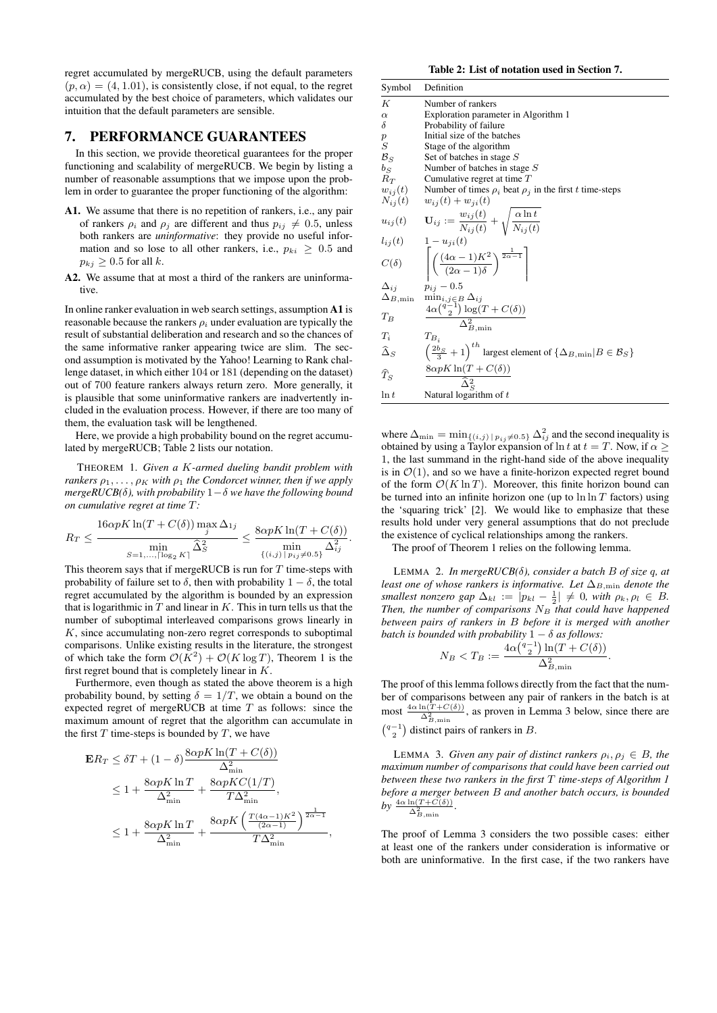regret accumulated by mergeRUCB, using the default parameters  $(p, \alpha) = (4, 1.01)$ , is consistently close, if not equal, to the regret accumulated by the best choice of parameters, which validates our intuition that the default parameters are sensible.

## 7. PERFORMANCE GUARANTEES

In this section, we provide theoretical guarantees for the proper functioning and scalability of mergeRUCB. We begin by listing a number of reasonable assumptions that we impose upon the problem in order to guarantee the proper functioning of the algorithm:

- A1. We assume that there is no repetition of rankers, i.e., any pair of rankers  $\rho_i$  and  $\rho_j$  are different and thus  $p_{ij} \neq 0.5$ , unless both rankers are *uninformative*: they provide no useful information and so lose to all other rankers, i.e.,  $p_{ki} \geq 0.5$  and  $p_{ki} \geq 0.5$  for all k.
- A2. We assume that at most a third of the rankers are uninformative.

In online ranker evaluation in web search settings, assumption A1 is reasonable because the rankers  $\rho_i$  under evaluation are typically the result of substantial deliberation and research and so the chances of the same informative ranker appearing twice are slim. The second assumption is motivated by the Yahoo! Learning to Rank challenge dataset, in which either 104 or 181 (depending on the dataset) out of 700 feature rankers always return zero. More generally, it is plausible that some uninformative rankers are inadvertently included in the evaluation process. However, if there are too many of them, the evaluation task will be lengthened.

Here, we provide a high probability bound on the regret accumulated by mergeRUCB; Table 2 lists our notation.

THEOREM 1. *Given a* K*-armed dueling bandit problem with rankers*  $\rho_1, \ldots, \rho_K$  *with*  $\rho_1$  *the Condorcet winner, then if we apply mergeRUCB(*δ*), with probability* 1−δ *we have the following bound on cumulative regret at time* T*:*

$$
R_T \le \frac{16\alpha pK\ln(T + C(\delta))\max_j \Delta_{1j}}{\min_{S=1,\dots,\lceil \log_2 K \rceil} \hat{\Delta}_S^2} \le \frac{8\alpha pK\ln(T + C(\delta))}{\min_{\{(i,j)\mid p_{ij}\neq 0.5\}} \Delta_{ij}^2}.
$$

This theorem says that if mergeRUCB is run for  $T$  time-steps with probability of failure set to  $\delta$ , then with probability  $1 - \delta$ , the total regret accumulated by the algorithm is bounded by an expression that is logarithmic in  $T$  and linear in  $K$ . This in turn tells us that the number of suboptimal interleaved comparisons grows linearly in  $K$ , since accumulating non-zero regret corresponds to suboptimal comparisons. Unlike existing results in the literature, the strongest of which take the form  $\mathcal{O}(K^2) + \mathcal{O}(K \log T)$ , Theorem 1 is the first regret bound that is completely linear in  $K$ .

Furthermore, even though as stated the above theorem is a high probability bound, by setting  $\delta = 1/T$ , we obtain a bound on the expected regret of mergeRUCB at time  $T$  as follows: since the maximum amount of regret that the algorithm can accumulate in the first  $T$  time-steps is bounded by  $T$ , we have

$$
\mathbf{E}R_T \leq \delta T + (1 - \delta) \frac{8\alpha pK \ln(T + C(\delta))}{\Delta_{\min}^2}
$$
  
\n
$$
\leq 1 + \frac{8\alpha pK \ln T}{\Delta_{\min}^2} + \frac{8\alpha pKC(1/T)}{T\Delta_{\min}^2},
$$
  
\n
$$
\leq 1 + \frac{8\alpha pK \ln T}{\Delta_{\min}^2} + \frac{8\alpha pK \left(\frac{T(4\alpha - 1)K^2}{(2\alpha - 1)}\right)^{\frac{1}{2\alpha - 1}}}{T\Delta_{\min}^2},
$$

Table 2: List of notation used in Section 7.

| Symbol                  | Definition                                                                                           |
|-------------------------|------------------------------------------------------------------------------------------------------|
| К                       | Number of rankers                                                                                    |
| $\alpha$                | Exploration parameter in Algorithm 1                                                                 |
| δ                       | Probability of failure                                                                               |
| $\boldsymbol{p}$        | Initial size of the batches                                                                          |
| $\cal S$                | Stage of the algorithm                                                                               |
| $B_S$                   | Set of batches in stage S                                                                            |
| $b_S\,$                 | Number of batches in stage $S$                                                                       |
| $R_T$                   | Cumulative regret at time $T$                                                                        |
|                         | $w_{ij}(t)$ Number of times $\rho_i$ beat $\rho_j$ in the first t time-steps                         |
|                         | $N_{ij}(t)$ $w_{ij}(t) + w_{ji}(t)$                                                                  |
|                         | $u_{ij}(t)$ $\mathbf{U}_{ij} := \frac{w_{ij}(t)}{N_{ij}(t)} + \sqrt{\frac{\alpha \ln t}{N_{ij}(t)}}$ |
| $l_{ij}(t)$             | $1-u_{ii}(t)$                                                                                        |
| $C(\delta)$             | $\left( \frac{(4\alpha-1)K^2}{(2\alpha-1)\delta} \right)^{\frac{1}{2\alpha-1}}$                      |
| $\Delta_{i,i}$          | $p_{ij} - 0.5$                                                                                       |
| $\Delta_{B,\text{min}}$ |                                                                                                      |
| $T_R$                   | $\frac{\min_{i,j \in B} \Delta_{ij}}{\Delta \alpha \binom{q-1}{2} \log(T + C(\delta))}$              |
| $T_i$                   | $T_{B_i}$                                                                                            |
| $\widehat{\Delta}_S$    | $\left(\frac{2b_S}{3}+1\right)^{th}$ largest element of $\{\Delta_{B,\min} B \in \mathcal{B}_S\}$    |
| $\widehat{T}_{S}$       | $\frac{8\alpha pK\ln(T+C(\delta))}{\widehat{\Delta}_C^2}$                                            |
| $\ln t$                 | Natural logarithm of $t$                                                                             |

where  $\Delta_{\min} = \min_{\{(i,j) \mid p_{ij} \neq 0.5\}} \Delta_{ij}^2$  and the second inequality is obtained by using a Taylor expansion of ln t at  $t = T$ . Now, if  $\alpha \geq$ 1, the last summand in the right-hand side of the above inequality is in  $\mathcal{O}(1)$ , and so we have a finite-horizon expected regret bound of the form  $\mathcal{O}(K \ln T)$ . Moreover, this finite horizon bound can be turned into an infinite horizon one (up to  $\ln \ln T$  factors) using the 'squaring trick' [2]. We would like to emphasize that these results hold under very general assumptions that do not preclude the existence of cyclical relationships among the rankers.

The proof of Theorem 1 relies on the following lemma.

LEMMA 2. *In mergeRUCB(*δ*), consider a batch* B *of size* q*, at least one of whose rankers is informative. Let*  $\Delta_{B,\text{min}}$  *denote the smallest nonzero gap*  $\Delta_{kl} := |p_{kl} - \frac{1}{2}| \neq 0$ *, with*  $\rho_k, \rho_l \in B$ *. Then, the number of comparisons*  $N_B$  *that could have happened between pairs of rankers in* B *before it is merged with another batch is bounded with probability*  $1 - \delta$  *as follows:* 

$$
N_B < T_B := \frac{4\alpha \binom{q-1}{2} \ln(T + C(\delta))}{\Delta_{B,\min}^2}
$$

.

The proof of this lemma follows directly from the fact that the number of comparisons between any pair of rankers in the batch is at most  $\frac{4\alpha \ln(T + C(\delta))}{\Delta^2}$ , as proven in Lemma 3 below, since there are  $\Delta_{B,\text{min}}^2$  $\binom{q-1}{2}$  distinct pairs of rankers in B.

LEMMA 3. *Given any pair of distinct rankers*  $\rho_i$ ,  $\rho_j \in B$ , the *maximum number of comparisons that could have been carried out between these two rankers in the first* T *time-steps of Algorithm 1 before a merger between* B *and another batch occurs, is bounded*

by  $\frac{4\alpha \ln(T+C(\delta))}{\Delta_{B,\min}^2}$ .

The proof of Lemma 3 considers the two possible cases: either at least one of the rankers under consideration is informative or both are uninformative. In the first case, if the two rankers have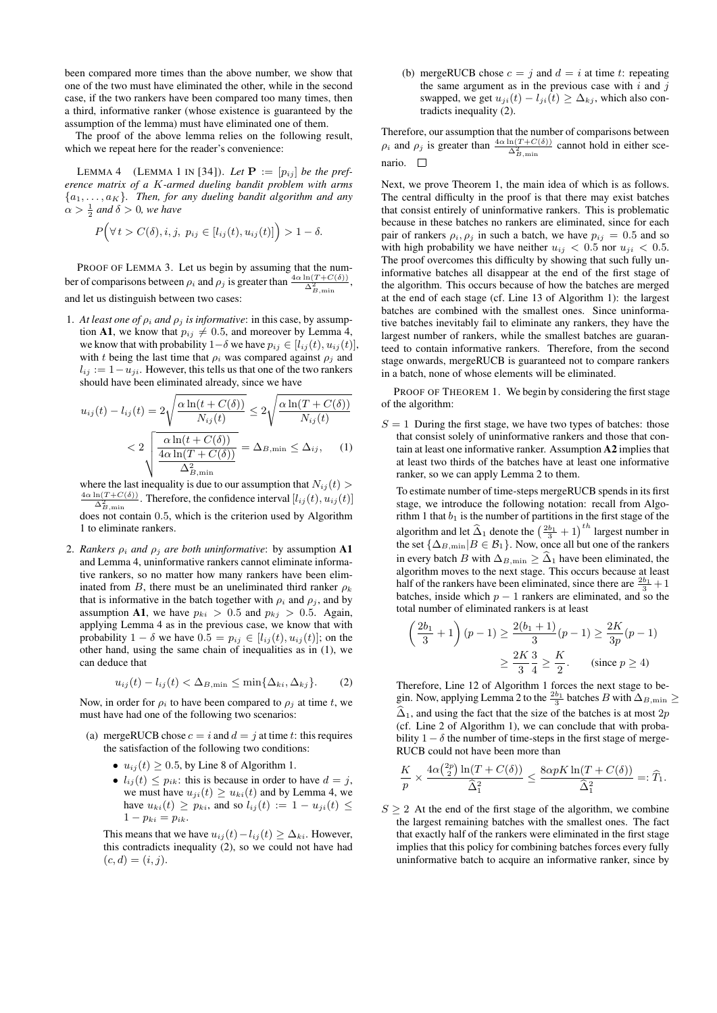been compared more times than the above number, we show that one of the two must have eliminated the other, while in the second case, if the two rankers have been compared too many times, then a third, informative ranker (whose existence is guaranteed by the assumption of the lemma) must have eliminated one of them.

The proof of the above lemma relies on the following result, which we repeat here for the reader's convenience:

LEMMA 4 (LEMMA 1 IN [34]). Let  $P := [p_{ij}]$  be the pref*erence matrix of a* K*-armed dueling bandit problem with arms*  ${a_1, \ldots, a_K}$ *. Then, for any dueling bandit algorithm and any*  $\alpha > \frac{1}{2}$  and  $\delta > 0$ , we have

$$
P(\forall t > C(\delta), i, j, p_{ij} \in [l_{ij}(t), u_{ij}(t)] > 1 - \delta.
$$

PROOF OF LEMMA 3. Let us begin by assuming that the number of comparisons between  $\rho_i$  and  $\rho_j$  is greater than  $\frac{4\alpha \ln(T + C(\delta))}{\Delta_{B,\min}^2}$ , and let us distinguish between two cases:

1. *At least one of*  $\rho_i$  *and*  $\rho_j$  *is informative*: in this case, by assumption A1, we know that  $p_{ij} \neq 0.5$ , and moreover by Lemma 4, we know that with probability 1– $\delta$  we have  $p_{ij} \in [l_{ij}(t), u_{ij}(t)],$ with t being the last time that  $\rho_i$  was compared against  $\rho_i$  and  $l_{ij} := 1 - u_{ji}$ . However, this tells us that one of the two rankers should have been eliminated already, since we have

$$
u_{ij}(t) - l_{ij}(t) = 2\sqrt{\frac{\alpha \ln(t + C(\delta))}{N_{ij}(t)}} \le 2\sqrt{\frac{\alpha \ln(T + C(\delta))}{N_{ij}(t)}}
$$
  
< 
$$
< 2\sqrt{\frac{\alpha \ln(t + C(\delta))}{\frac{4\alpha \ln(T + C(\delta))}{\Delta_{B,\min}^2}}} = \Delta_{B,\min} \le \Delta_{ij}, \quad (1)
$$

where the last inequality is due to our assumption that  $N_{ij}(t)$  $\frac{4\alpha \ln(T+C(\delta))}{\Delta^2}$ . Therefore, the confidence interval  $[l_{ij}(t), u_{ij}(t)]$  $\Delta_{B,\text{min}}^2$ does not contain 0.5, which is the criterion used by Algorithm 1 to eliminate rankers.

2. *Rankers*  $\rho_i$  *and*  $\rho_j$  *are both uninformative*: by assumption **A1** and Lemma 4, uninformative rankers cannot eliminate informative rankers, so no matter how many rankers have been eliminated from B, there must be an uneliminated third ranker  $\rho_k$ that is informative in the batch together with  $\rho_i$  and  $\rho_j$ , and by assumption A1, we have  $p_{ki} > 0.5$  and  $p_{ki} > 0.5$ . Again, applying Lemma 4 as in the previous case, we know that with probability 1 –  $\delta$  we have  $0.5 = p_{ij} \in [l_{ij}(t), u_{ij}(t)]$ ; on the other hand, using the same chain of inequalities as in (1), we can deduce that

$$
u_{ij}(t) - l_{ij}(t) < \Delta_{B,\min} \le \min\{\Delta_{ki}, \Delta_{kj}\}.\tag{2}
$$

Now, in order for  $\rho_i$  to have been compared to  $\rho_i$  at time t, we must have had one of the following two scenarios:

- (a) mergeRUCB chose  $c = i$  and  $d = j$  at time t: this requires the satisfaction of the following two conditions:
	- $u_{ij}(t) \ge 0.5$ , by Line 8 of Algorithm 1.
	- $l_{ij}(t) \leq p_{ik}$ : this is because in order to have  $d = j$ , we must have  $u_{ji}(t) \geq u_{ki}(t)$  and by Lemma 4, we have  $u_{ki}(t) \geq p_{ki}$ , and so  $l_{ij}(t) := 1 - u_{ji}(t) \leq$  $1 - p_{ki} = p_{ik}.$

This means that we have  $u_{ij}(t) - l_{ij}(t) \geq \Delta_{ki}$ . However, this contradicts inequality (2), so we could not have had  $(c, d) = (i, j).$ 

(b) mergeRUCB chose  $c = j$  and  $d = i$  at time t: repeating the same argument as in the previous case with  $i$  and  $j$ swapped, we get  $u_{ji}(t) - l_{ji}(t) \geq \Delta_{kj}$ , which also contradicts inequality (2).

Therefore, our assumption that the number of comparisons between  $\rho_i$  and  $\rho_j$  is greater than  $\frac{4\alpha \ln(T + C(\delta))}{\Delta_{B,\min}^2}$  cannot hold in either scenario. □

Next, we prove Theorem 1, the main idea of which is as follows. The central difficulty in the proof is that there may exist batches that consist entirely of uninformative rankers. This is problematic because in these batches no rankers are eliminated, since for each pair of rankers  $\rho_i$ ,  $\rho_j$  in such a batch, we have  $p_{ij} = 0.5$  and so with high probability we have neither  $u_{ij} < 0.5$  nor  $u_{ji} < 0.5$ . The proof overcomes this difficulty by showing that such fully uninformative batches all disappear at the end of the first stage of the algorithm. This occurs because of how the batches are merged at the end of each stage (cf. Line 13 of Algorithm 1): the largest batches are combined with the smallest ones. Since uninformative batches inevitably fail to eliminate any rankers, they have the largest number of rankers, while the smallest batches are guaranteed to contain informative rankers. Therefore, from the second stage onwards, mergeRUCB is guaranteed not to compare rankers in a batch, none of whose elements will be eliminated.

PROOF OF THEOREM 1. We begin by considering the first stage of the algorithm:

 $S = 1$  During the first stage, we have two types of batches: those that consist solely of uninformative rankers and those that contain at least one informative ranker. Assumption A2 implies that at least two thirds of the batches have at least one informative ranker, so we can apply Lemma 2 to them.

To estimate number of time-steps mergeRUCB spends in its first stage, we introduce the following notation: recall from Algorithm 1 that  $b_1$  is the number of partitions in the first stage of the algorithm and let  $\widehat{\Delta}_1$  denote the  $\left(\frac{2b_1}{3} + 1\right)^{th}$  largest number in the set  $\{\Delta_{B,\text{min}}|B \in \mathcal{B}_1\}$ . Now, once all but one of the rankers in every batch  $B$  with  $\Delta_{B,\text{min}} \geq \widehat{\Delta}_1$  have been eliminated, the algorithm moves to the next stage. This occurs because at least half of the rankers have been eliminated, since there are  $\frac{2b_1}{3} + 1$ batches, inside which  $p - 1$  rankers are eliminated, and so the total number of eliminated rankers is at least

$$
\left(\frac{2b_1}{3} + 1\right)(p - 1) \ge \frac{2(b_1 + 1)}{3}(p - 1) \ge \frac{2K}{3p}(p - 1)
$$

$$
\ge \frac{2K}{3} \cdot \frac{3}{4} \ge \frac{K}{2}.
$$
 (since  $p \ge 4$ )

Therefore, Line 12 of Algorithm 1 forces the next stage to begin. Now, applying Lemma 2 to the  $\frac{2b_1}{3}$  batches B with  $\Delta_{B,\text{min}} \geq$  $\widehat{\Delta}_1$ , and using the fact that the size of the batches is at most 2p (cf. Line 2 of Algorithm 1), we can conclude that with probability  $1 - \delta$  the number of time-steps in the first stage of merge-RUCB could not have been more than

$$
\frac{K}{p} \times \frac{4\alpha \binom{2p}{2} \ln(T + C(\delta))}{\widehat{\Delta}_1^2} \le \frac{8\alpha p K \ln(T + C(\delta))}{\widehat{\Delta}_1^2} =: \widehat{T}_1.
$$

 $S \geq 2$  At the end of the first stage of the algorithm, we combine the largest remaining batches with the smallest ones. The fact that exactly half of the rankers were eliminated in the first stage implies that this policy for combining batches forces every fully uninformative batch to acquire an informative ranker, since by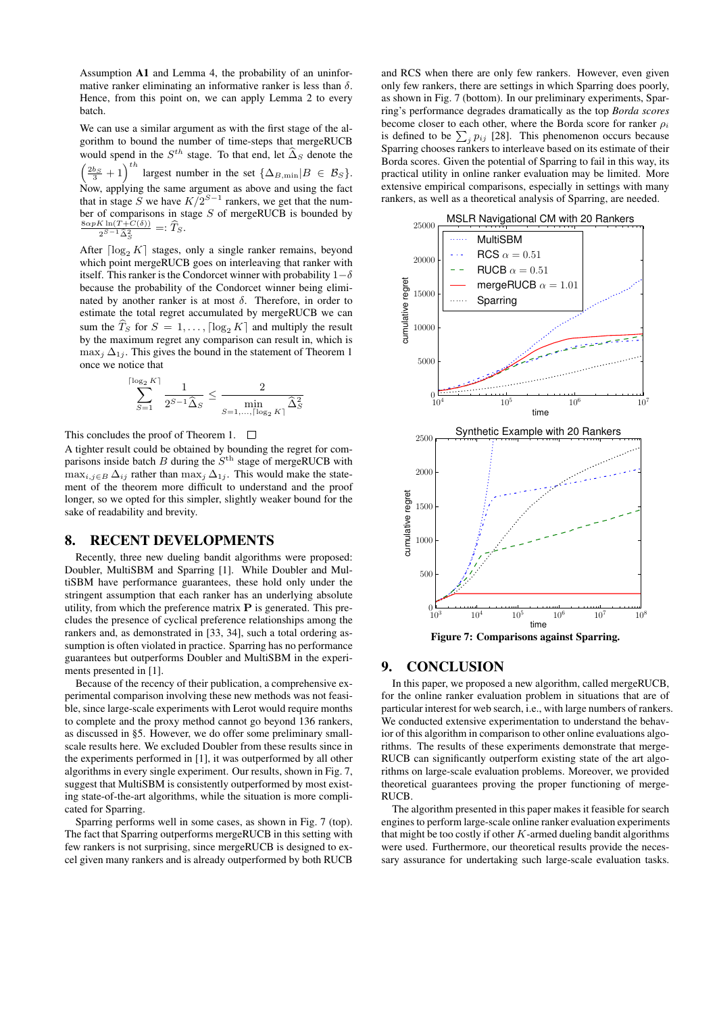Assumption A1 and Lemma 4, the probability of an uninformative ranker eliminating an informative ranker is less than  $\delta$ . Hence, from this point on, we can apply Lemma 2 to every batch.

We can use a similar argument as with the first stage of the algorithm to bound the number of time-steps that mergeRUCB would spend in the  $S^{th}$  stage. To that end, let  $\widehat{\Delta}_S$  denote the  $\left(\frac{2b_S}{3} + 1\right)^{th}$  largest number in the set  $\{\Delta_{B,\min}|B \in \mathcal{B}_S\}.$ Now, applying the same argument as above and using the fact that in stage S we have  $K/2^{S-1}$  rankers, we get that the number of comparisons in stage S of mergeRUCB is bounded by  $\frac{8\alpha pK\ln(T+C(\delta))}{2^{S-1}\widehat{\Delta}_{S}^{2}} =: \widehat{T}_{S}.$ 

After  $\lceil \log_2 K \rceil$  stages, only a single ranker remains, beyond which point mergeRUCB goes on interleaving that ranker with itself. This ranker is the Condorcet winner with probability  $1-\delta$ because the probability of the Condorcet winner being eliminated by another ranker is at most  $\delta$ . Therefore, in order to estimate the total regret accumulated by mergeRUCB we can sum the  $\widehat{T}_S$  for  $S = 1, \ldots, \lceil \log_2 K \rceil$  and multiply the result by the maximum regret any comparison can result in, which is  $\max_j \Delta_{1j}$ . This gives the bound in the statement of Theorem 1 once we notice that

$$
\sum_{S=1}^{\lceil \log_2 K \rceil} \frac{1}{2^{S-1} \widehat{\Delta}_S} \le \frac{2}{\min_{S=1,\dots,\lceil \log_2 K \rceil} \widehat{\Delta}_S^2}
$$

This concludes the proof of Theorem 1.  $\Box$ 

A tighter result could be obtained by bounding the regret for comparisons inside batch  $B$  during the  $S<sup>th</sup>$  stage of mergeRUCB with  $\max_{i,j\in B} \Delta_{ij}$  rather than  $\max_j \Delta_{1j}$ . This would make the statement of the theorem more difficult to understand and the proof longer, so we opted for this simpler, slightly weaker bound for the sake of readability and brevity.

## 8. RECENT DEVELOPMENTS

Recently, three new dueling bandit algorithms were proposed: Doubler, MultiSBM and Sparring [1]. While Doubler and MultiSBM have performance guarantees, these hold only under the stringent assumption that each ranker has an underlying absolute utility, from which the preference matrix  $P$  is generated. This precludes the presence of cyclical preference relationships among the rankers and, as demonstrated in [33, 34], such a total ordering assumption is often violated in practice. Sparring has no performance guarantees but outperforms Doubler and MultiSBM in the experiments presented in [1].

Because of the recency of their publication, a comprehensive experimental comparison involving these new methods was not feasible, since large-scale experiments with Lerot would require months to complete and the proxy method cannot go beyond 136 rankers, as discussed in §5. However, we do offer some preliminary smallscale results here. We excluded Doubler from these results since in the experiments performed in [1], it was outperformed by all other algorithms in every single experiment. Our results, shown in Fig. 7, suggest that MultiSBM is consistently outperformed by most existing state-of-the-art algorithms, while the situation is more complicated for Sparring.

Sparring performs well in some cases, as shown in Fig. 7 (top). The fact that Sparring outperforms mergeRUCB in this setting with few rankers is not surprising, since mergeRUCB is designed to excel given many rankers and is already outperformed by both RUCB

and RCS when there are only few rankers. However, even given only few rankers, there are settings in which Sparring does poorly, as shown in Fig. 7 (bottom). In our preliminary experiments, Sparring's performance degrades dramatically as the top *Borda scores* become closer to each other, where the Borda score for ranker  $\rho_i$ is defined to be  $\sum_j p_{ij}$  [28]. This phenomenon occurs because Sparring chooses rankers to interleave based on its estimate of their Borda scores. Given the potential of Sparring to fail in this way, its practical utility in online ranker evaluation may be limited. More extensive empirical comparisons, especially in settings with many rankers, as well as a theoretical analysis of Sparring, are needed.



## 9. CONCLUSION

In this paper, we proposed a new algorithm, called mergeRUCB, for the online ranker evaluation problem in situations that are of particular interest for web search, i.e., with large numbers of rankers. We conducted extensive experimentation to understand the behavior of this algorithm in comparison to other online evaluations algorithms. The results of these experiments demonstrate that merge-RUCB can significantly outperform existing state of the art algorithms on large-scale evaluation problems. Moreover, we provided theoretical guarantees proving the proper functioning of merge-RUCB.

The algorithm presented in this paper makes it feasible for search engines to perform large-scale online ranker evaluation experiments that might be too costly if other  $K$ -armed dueling bandit algorithms were used. Furthermore, our theoretical results provide the necessary assurance for undertaking such large-scale evaluation tasks.